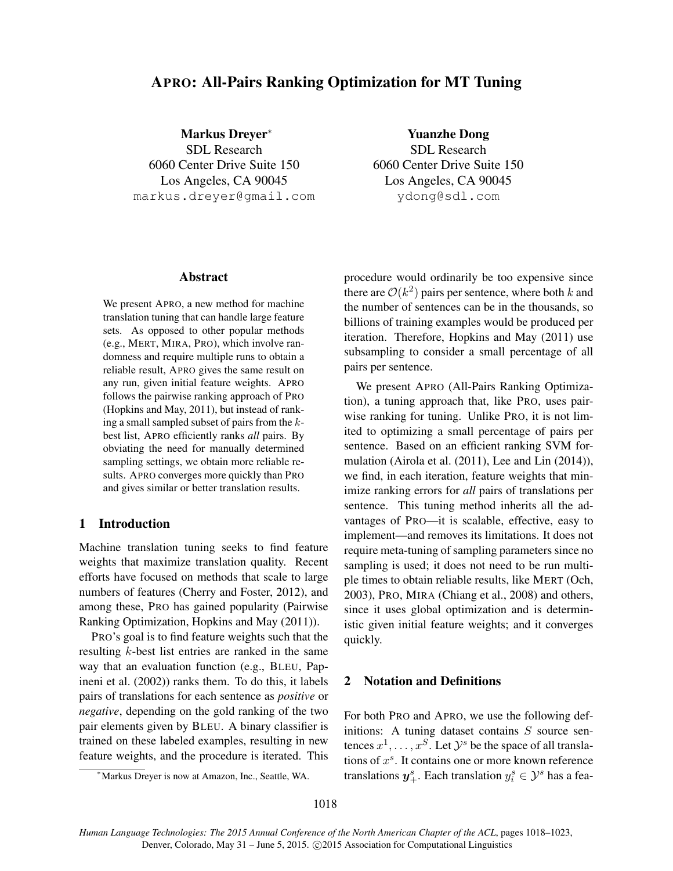# APRO: All-Pairs Ranking Optimization for MT Tuning

Markus Dreyer<sup>∗</sup> SDL Research 6060 Center Drive Suite 150 Los Angeles, CA 90045 markus.dreyer@gmail.com

Yuanzhe Dong SDL Research 6060 Center Drive Suite 150 Los Angeles, CA 90045 ydong@sdl.com

# Abstract

We present APRO, a new method for machine translation tuning that can handle large feature sets. As opposed to other popular methods (e.g., MERT, MIRA, PRO), which involve randomness and require multiple runs to obtain a reliable result, APRO gives the same result on any run, given initial feature weights. APRO follows the pairwise ranking approach of PRO (Hopkins and May, 2011), but instead of ranking a small sampled subset of pairs from the kbest list, APRO efficiently ranks *all* pairs. By obviating the need for manually determined sampling settings, we obtain more reliable results. APRO converges more quickly than PRO and gives similar or better translation results.

# 1 Introduction

Machine translation tuning seeks to find feature weights that maximize translation quality. Recent efforts have focused on methods that scale to large numbers of features (Cherry and Foster, 2012), and among these, PRO has gained popularity (Pairwise Ranking Optimization, Hopkins and May (2011)).

PRO's goal is to find feature weights such that the resulting k-best list entries are ranked in the same way that an evaluation function (e.g., BLEU, Papineni et al. (2002)) ranks them. To do this, it labels pairs of translations for each sentence as *positive* or *negative*, depending on the gold ranking of the two pair elements given by BLEU. A binary classifier is trained on these labeled examples, resulting in new feature weights, and the procedure is iterated. This

procedure would ordinarily be too expensive since there are  $\mathcal{O}(k^2)$  pairs per sentence, where both k and the number of sentences can be in the thousands, so billions of training examples would be produced per iteration. Therefore, Hopkins and May (2011) use subsampling to consider a small percentage of all pairs per sentence.

We present APRO (All-Pairs Ranking Optimization), a tuning approach that, like PRO, uses pairwise ranking for tuning. Unlike PRO, it is not limited to optimizing a small percentage of pairs per sentence. Based on an efficient ranking SVM formulation (Airola et al. (2011), Lee and Lin (2014)), we find, in each iteration, feature weights that minimize ranking errors for *all* pairs of translations per sentence. This tuning method inherits all the advantages of PRO—it is scalable, effective, easy to implement—and removes its limitations. It does not require meta-tuning of sampling parameters since no sampling is used; it does not need to be run multiple times to obtain reliable results, like MERT (Och, 2003), PRO, MIRA (Chiang et al., 2008) and others, since it uses global optimization and is deterministic given initial feature weights; and it converges quickly.

# 2 Notation and Definitions

For both PRO and APRO, we use the following definitions: A tuning dataset contains  $S$  source sentences  $x^1, \ldots, x^S$ . Let  $\mathcal{Y}^s$  be the space of all translations of  $x^s$ . It contains one or more known reference translations  $y^s_+$ . Each translation  $y^s_i \in \mathcal{Y}^s$  has a fea-

<sup>∗</sup>Markus Dreyer is now at Amazon, Inc., Seattle, WA.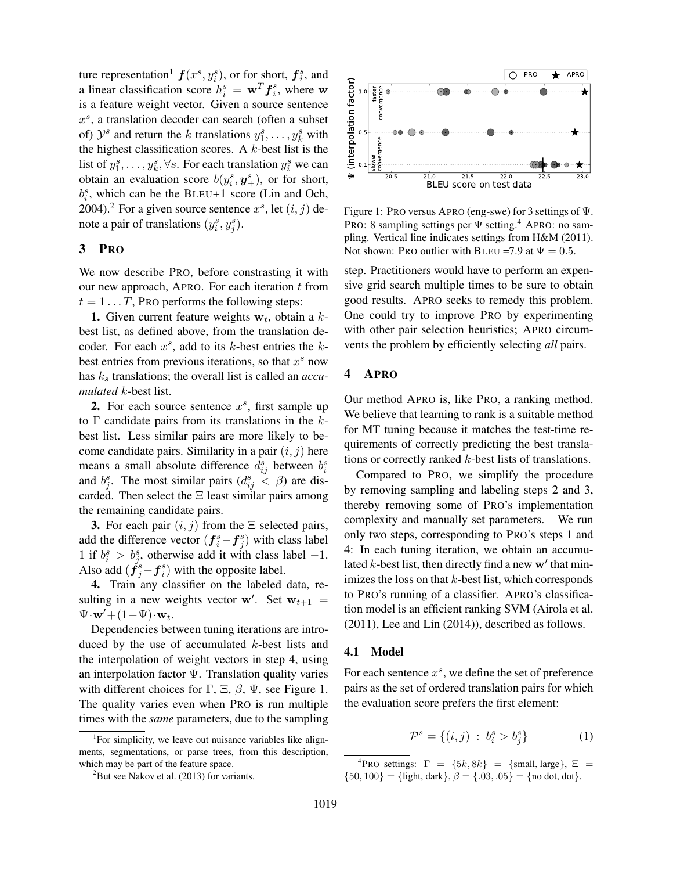ture representation<sup>1</sup>  $f(x^s, y_i^s)$ , or for short,  $f_i^s$ , and a linear classification score  $h_i^s = \mathbf{w}^T \mathbf{f}_i^s$ , where w is a feature weight vector. Given a source sentence x s , a translation decoder can search (often a subset of)  $\mathcal{Y}^s$  and return the k translations  $y_1^s, \ldots, y_k^s$  with the highest classification scores. A  $k$ -best list is the list of  $y_1^s, \ldots, y_k^s, \forall s$ . For each translation  $y_i^s$  we can obtain an evaluation score  $b(y_i^s, y_+^s)$ , or for short,  $b_i^s$ , which can be the BLEU+1 score (Lin and Och, 2004).<sup>2</sup> For a given source sentence  $x^s$ , let  $(i, j)$  denote a pair of translations  $(y_i^s, y_j^s)$ .

### 3 PRO

We now describe PRO, before constrasting it with our new approach, APRO. For each iteration  $t$  from  $t = 1 \dots T$ , PRO performs the following steps:

**1.** Given current feature weights  $w_t$ , obtain a kbest list, as defined above, from the translation decoder. For each  $x^s$ , add to its k-best entries the kbest entries from previous iterations, so that  $x^s$  now has  $k_s$  translations; the overall list is called an *accumulated* k-best list.

2. For each source sentence  $x^s$ , first sample up to  $\Gamma$  candidate pairs from its translations in the kbest list. Less similar pairs are more likely to become candidate pairs. Similarity in a pair  $(i, j)$  here means a small absolute difference  $d_{ij}^s$  between  $b_i^s$ and  $b_j^s$ . The most similar pairs  $(d_{ij}^s \lt \beta)$  are discarded. Then select the  $\Xi$  least similar pairs among the remaining candidate pairs.

3. For each pair  $(i, j)$  from the  $\Xi$  selected pairs, add the difference vector  $(f_i^s - f_j^s)$  with class label 1 if  $b_i^s > b_j^s$ , otherwise add it with class label -1. Also add  $(\dot{f}_j^s - f_i^s)$  with the opposite label.

4. Train any classifier on the labeled data, resulting in a new weights vector w'. Set  $w_{t+1}$  =  $\Psi \cdot \mathbf{w}' + (1 - \Psi) \cdot \mathbf{w}_t.$ 

Dependencies between tuning iterations are introduced by the use of accumulated k-best lists and the interpolation of weight vectors in step 4, using an interpolation factor Ψ. Translation quality varies with different choices for  $\Gamma$ ,  $\Xi$ ,  $\beta$ ,  $\Psi$ , see Figure 1. The quality varies even when PRO is run multiple times with the *same* parameters, due to the sampling



Figure 1: PRO versus APRO (eng-swe) for 3 settings of Ψ. PRO: 8 sampling settings per  $\Psi$  setting.<sup>4</sup> APRO: no sampling. Vertical line indicates settings from H&M (2011). Not shown: PRO outlier with BLEU =7.9 at  $\Psi = 0.5$ .

step. Practitioners would have to perform an expensive grid search multiple times to be sure to obtain good results. APRO seeks to remedy this problem. One could try to improve PRO by experimenting with other pair selection heuristics; APRO circumvents the problem by efficiently selecting *all* pairs.

# 4 APRO

Our method APRO is, like PRO, a ranking method. We believe that learning to rank is a suitable method for MT tuning because it matches the test-time requirements of correctly predicting the best translations or correctly ranked k-best lists of translations.

Compared to PRO, we simplify the procedure by removing sampling and labeling steps 2 and 3, thereby removing some of PRO's implementation complexity and manually set parameters. We run only two steps, corresponding to PRO's steps 1 and 4: In each tuning iteration, we obtain an accumulated  $k$ -best list, then directly find a new  $\mathbf{w}'$  that minimizes the loss on that  $k$ -best list, which corresponds to PRO's running of a classifier. APRO's classification model is an efficient ranking SVM (Airola et al. (2011), Lee and Lin (2014)), described as follows.

#### 4.1 Model

For each sentence  $x^s$ , we define the set of preference pairs as the set of ordered translation pairs for which the evaluation score prefers the first element:

$$
\mathcal{P}^s = \{(i, j) : b_i^s > b_j^s\}
$$
 (1)

<sup>&</sup>lt;sup>1</sup>For simplicity, we leave out nuisance variables like alignments, segmentations, or parse trees, from this description, which may be part of the feature space.

 $2$ But see Nakov et al. (2013) for variants.

<sup>&</sup>lt;sup>4</sup>PRO settings:  $\Gamma = \{5k, 8k\} = \{\text{small}, \text{large}\}, \ \Xi =$  $\{50, 100\} = \{\text{light, dark}\}, \beta = \{.03, .05\} = \{\text{no dot, dot}\}.$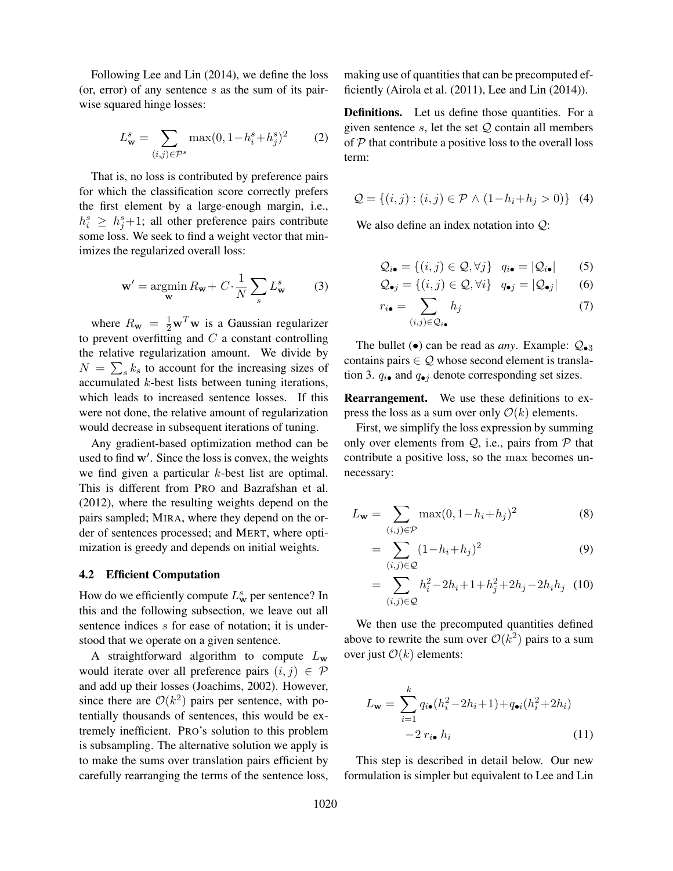Following Lee and Lin (2014), we define the loss (or, error) of any sentence  $s$  as the sum of its pairwise squared hinge losses:

$$
L_{\mathbf{w}}^{s} = \sum_{(i,j)\in\mathcal{P}^{s}} \max(0, 1 - h_{i}^{s} + h_{j}^{s})^{2}
$$
 (2)

That is, no loss is contributed by preference pairs for which the classification score correctly prefers the first element by a large-enough margin, i.e.,  $h_i^s \geq h_j^s + 1$ ; all other preference pairs contribute some loss. We seek to find a weight vector that minimizes the regularized overall loss:

$$
\mathbf{w}' = \underset{\mathbf{w}}{\operatorname{argmin}} R_{\mathbf{w}} + C \cdot \frac{1}{N} \sum_{s} L_{\mathbf{w}}^{s}
$$
 (3)

where  $R_{\mathbf{w}} = \frac{1}{2} \mathbf{w}^T \mathbf{w}$  is a Gaussian regularizer to prevent overfitting and  $C$  a constant controlling the relative regularization amount. We divide by  $N = \sum_{s} k_s$  to account for the increasing sizes of accumulated k-best lists between tuning iterations, which leads to increased sentence losses. If this were not done, the relative amount of regularization would decrease in subsequent iterations of tuning.

Any gradient-based optimization method can be used to find  $w'$ . Since the loss is convex, the weights we find given a particular k-best list are optimal. This is different from PRO and Bazrafshan et al. (2012), where the resulting weights depend on the pairs sampled; MIRA, where they depend on the order of sentences processed; and MERT, where optimization is greedy and depends on initial weights.

#### 4.2 Efficient Computation

How do we efficiently compute  $L^s_w$  per sentence? In this and the following subsection, we leave out all sentence indices s for ease of notation; it is understood that we operate on a given sentence.

A straightforward algorithm to compute  $L<sub>w</sub>$ would iterate over all preference pairs  $(i, j) \in \mathcal{P}$ and add up their losses (Joachims, 2002). However, since there are  $O(k^2)$  pairs per sentence, with potentially thousands of sentences, this would be extremely inefficient. PRO's solution to this problem is subsampling. The alternative solution we apply is to make the sums over translation pairs efficient by carefully rearranging the terms of the sentence loss, making use of quantities that can be precomputed efficiently (Airola et al. (2011), Lee and Lin (2014)).

Definitions. Let us define those quantities. For a given sentence  $s$ , let the set  $Q$  contain all members of  $P$  that contribute a positive loss to the overall loss term:

$$
\mathcal{Q} = \{(i, j) : (i, j) \in \mathcal{P} \land (1 - h_i + h_j > 0)\} \tag{4}
$$

We also define an index notation into Q:

$$
\mathcal{Q}_{i\bullet} = \{(i,j) \in \mathcal{Q}, \forall j\} \quad q_{i\bullet} = |\mathcal{Q}_{i\bullet}| \tag{5}
$$

$$
\mathcal{Q}_{\bullet j} = \{(i, j) \in \mathcal{Q}, \forall i\} \quad q_{\bullet j} = |\mathcal{Q}_{\bullet j}| \qquad (6)
$$

$$
r_{i\bullet} = \sum_{(i,j)\in\mathcal{Q}_{i\bullet}} h_j
$$
 (7)

The bullet  $\left( \bullet \right)$  can be read as *any*. Example:  $\mathcal{Q}_{\bullet 3}$ contains pairs  $\in \mathcal{Q}$  whose second element is translation 3.  $q_{i\bullet}$  and  $q_{\bullet j}$  denote corresponding set sizes.

Rearrangement. We use these definitions to express the loss as a sum over only  $\mathcal{O}(k)$  elements.

First, we simplify the loss expression by summing only over elements from  $Q$ , i.e., pairs from  $P$  that contribute a positive loss, so the max becomes unnecessary:

$$
L_{\mathbf{w}} = \sum_{(i,j) \in \mathcal{P}} \max(0, 1 - h_i + h_j)^2
$$
 (8)

$$
=\sum_{(i,j)\in\mathcal{Q}}(1-h_i+h_j)^2\tag{9}
$$

$$
= \sum_{(i,j)\in\mathcal{Q}} h_i^2 - 2h_i + 1 + h_j^2 + 2h_j - 2h_i h_j \tag{10}
$$

We then use the precomputed quantities defined above to rewrite the sum over  $\mathcal{O}(k^2)$  pairs to a sum over just  $\mathcal{O}(k)$  elements:

$$
L_{\mathbf{w}} = \sum_{i=1}^{k} q_{i\bullet} (h_i^2 - 2h_i + 1) + q_{\bullet i} (h_i^2 + 2h_i)
$$

$$
-2 r_{i\bullet} h_i
$$
(11)

This step is described in detail below. Our new formulation is simpler but equivalent to Lee and Lin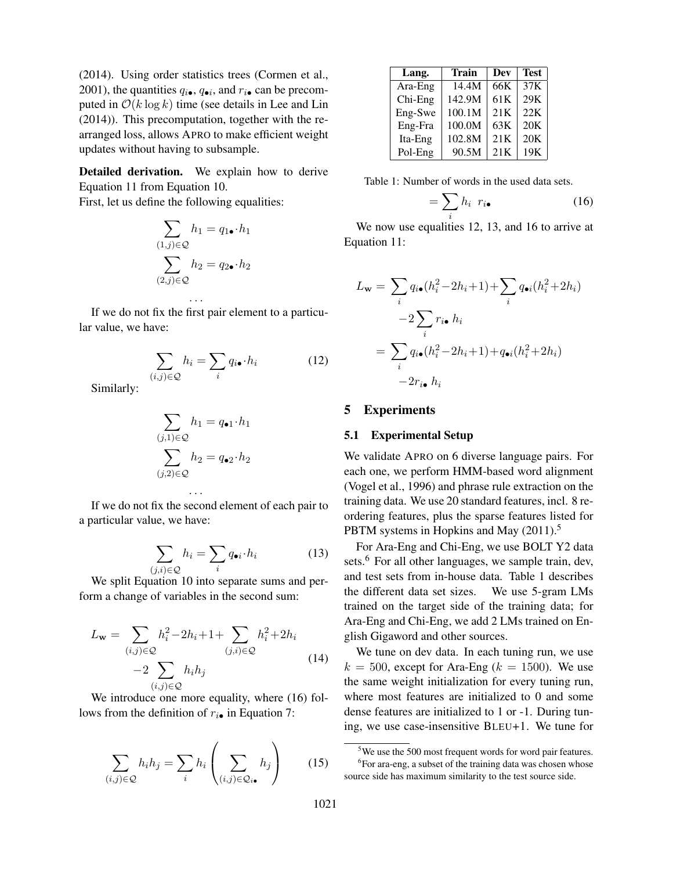(2014). Using order statistics trees (Cormen et al., 2001), the quantities  $q_{i\bullet}$ ,  $q_{\bullet i}$ , and  $r_{i\bullet}$  can be precomputed in  $O(k \log k)$  time (see details in Lee and Lin (2014)). This precomputation, together with the rearranged loss, allows APRO to make efficient weight updates without having to subsample.

Detailed derivation. We explain how to derive Equation 11 from Equation 10.

First, let us define the following equalities:

$$
\sum_{(1,j)\in\mathcal{Q}} h_1 = q_{1\bullet} \cdot h_1
$$

$$
\sum_{(2,j)\in\mathcal{Q}} h_2 = q_{2\bullet} \cdot h_2
$$

$$
\dots
$$

If we do not fix the first pair element to a particular value, we have:

$$
\sum_{(i,j)\in\mathcal{Q}} h_i = \sum_i q_{i\bullet} \cdot h_i \tag{12}
$$

Similarly:

$$
\sum_{(j,1)\in\mathcal{Q}} h_1 = q_{\bullet 1} \cdot h_1
$$

$$
\sum_{(j,2)\in\mathcal{Q}} h_2 = q_{\bullet 2} \cdot h_2
$$

If we do not fix the second element of each pair to a particular value, we have:

. . .

$$
\sum_{(j,i)\in\mathcal{Q}} h_i = \sum_i q_{\bullet i} \cdot h_i \tag{13}
$$

We split Equation 10 into separate sums and perform a change of variables in the second sum:

$$
L_{\mathbf{w}} = \sum_{(i,j)\in\mathcal{Q}} h_i^2 - 2h_i + 1 + \sum_{(j,i)\in\mathcal{Q}} h_i^2 + 2h_i
$$
  
-2
$$
\sum_{(i,j)\in\mathcal{Q}} h_i h_j
$$
 (14)

We introduce one more equality, where  $(16)$  follows from the definition of  $r_{i\bullet}$  in Equation 7:

$$
\sum_{(i,j)\in\mathcal{Q}} h_i h_j = \sum_i h_i \left( \sum_{(i,j)\in\mathcal{Q}_{i\bullet}} h_j \right) \qquad (15)
$$

| Lang.   | <b>Train</b> | Dev             | <b>Test</b> |
|---------|--------------|-----------------|-------------|
| Ara-Eng | 14.4M        | 66K             | 37K         |
| Chi-Eng | 142.9M       | 61 <sub>K</sub> | 29K         |
| Eng-Swe | 100.1M       | 21K             | 22K         |
| Eng-Fra | 100.0M       | 63K             | 20K         |
| Ita-Eng | 102.8M       | 21K             | 20K         |
| Pol-Eng | 90.5M        | 21K             | 19K         |

Table 1: Number of words in the used data sets.

$$
=\sum_{i}h_{i} r_{i\bullet} \tag{16}
$$

We now use equalities 12, 13, and 16 to arrive at Equation 11:

$$
L_{\mathbf{w}} = \sum_{i} q_{i\bullet}(h_i^2 - 2h_i + 1) + \sum_{i} q_{\bullet i}(h_i^2 + 2h_i)
$$

$$
-2\sum_{i} r_{i\bullet} h_i
$$

$$
= \sum_{i} q_{i\bullet}(h_i^2 - 2h_i + 1) + q_{\bullet i}(h_i^2 + 2h_i)
$$

$$
-2r_{i\bullet} h_i
$$

#### 5 Experiments

#### 5.1 Experimental Setup

We validate APRO on 6 diverse language pairs. For each one, we perform HMM-based word alignment (Vogel et al., 1996) and phrase rule extraction on the training data. We use 20 standard features, incl. 8 reordering features, plus the sparse features listed for PBTM systems in Hopkins and May (2011).<sup>5</sup>

For Ara-Eng and Chi-Eng, we use BOLT Y2 data sets.<sup>6</sup> For all other languages, we sample train, dev, and test sets from in-house data. Table 1 describes the different data set sizes. We use 5-gram LMs trained on the target side of the training data; for Ara-Eng and Chi-Eng, we add 2 LMs trained on English Gigaword and other sources.

We tune on dev data. In each tuning run, we use  $k = 500$ , except for Ara-Eng ( $k = 1500$ ). We use the same weight initialization for every tuning run, where most features are initialized to 0 and some dense features are initialized to 1 or -1. During tuning, we use case-insensitive BLEU+1. We tune for

<sup>&</sup>lt;sup>5</sup>We use the 500 most frequent words for word pair features.  ${}^{6}$ For ara-eng, a subset of the training data was chosen whose source side has maximum similarity to the test source side.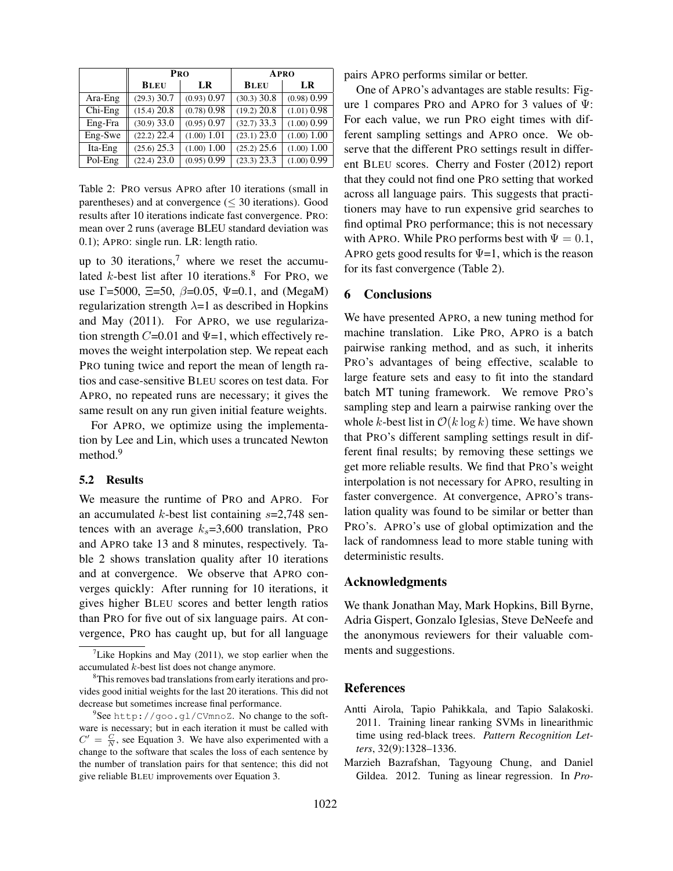|           | <b>PRO</b>    |               | APRO            |               |
|-----------|---------------|---------------|-----------------|---------------|
|           | <b>BLEU</b>   | LR            | <b>BLEU</b>     | LR            |
| Ara-Eng   | $(29.3)$ 30.7 | (0.93) 0.97   | $(30.3)$ 30.8   | (0.98) 0.99   |
| $Chi-Eng$ | (15.4) 20.8   | (0.78) 0.98   | $(19.2)$ 20.8   | $(1.01)$ 0.98 |
| Eng-Fra   | $(30.9)$ 33.0 | $(0.95)$ 0.97 | $(32.7)$ 33.3   | $(1.00)$ 0.99 |
| Eng-Swe   | $(22.2)$ 22.4 | (1.00) 1.01   | $(23.1)$ 23.0   | (1.00) 1.00   |
| Ita-Eng   | (25.6) 25.3   | (1.00) 1.00   | $(25.2)$ 25.6   | (1.00) 1.00   |
| Pol-Eng   | (22.4) 23.0   | (0.95) 0.99   | $(23.3)$ $23.3$ | (1.00) 0.99   |

Table 2: PRO versus APRO after 10 iterations (small in parentheses) and at convergence ( $\leq$  30 iterations). Good results after 10 iterations indicate fast convergence. PRO: mean over 2 runs (average BLEU standard deviation was 0.1); APRO: single run. LR: length ratio.

up to 30 iterations, $7$  where we reset the accumulated  $k$ -best list after 10 iterations.<sup>8</sup> For PRO, we use  $\Gamma$ =5000,  $\Xi$ =50,  $\beta$ =0.05,  $\Psi$ =0.1, and (MegaM) regularization strength  $\lambda=1$  as described in Hopkins and May (2011). For APRO, we use regularization strength  $C=0.01$  and  $\Psi=1$ , which effectively removes the weight interpolation step. We repeat each PRO tuning twice and report the mean of length ratios and case-sensitive BLEU scores on test data. For APRO, no repeated runs are necessary; it gives the same result on any run given initial feature weights.

For APRO, we optimize using the implementation by Lee and Lin, which uses a truncated Newton method.<sup>9</sup>

# 5.2 Results

We measure the runtime of PRO and APRO. For an accumulated  $k$ -best list containing  $s=2,748$  sentences with an average  $k_s$ =3,600 translation, PRO and APRO take 13 and 8 minutes, respectively. Table 2 shows translation quality after 10 iterations and at convergence. We observe that APRO converges quickly: After running for 10 iterations, it gives higher BLEU scores and better length ratios than PRO for five out of six language pairs. At convergence, PRO has caught up, but for all language pairs APRO performs similar or better.

One of APRO's advantages are stable results: Figure 1 compares PRO and APRO for 3 values of  $\Psi$ : For each value, we run PRO eight times with different sampling settings and APRO once. We observe that the different PRO settings result in different BLEU scores. Cherry and Foster (2012) report that they could not find one PRO setting that worked across all language pairs. This suggests that practitioners may have to run expensive grid searches to find optimal PRO performance; this is not necessary with APRO. While PRO performs best with  $\Psi = 0.1$ , APRO gets good results for  $\Psi$ =1, which is the reason for its fast convergence (Table 2).

## 6 Conclusions

We have presented APRO, a new tuning method for machine translation. Like PRO, APRO is a batch pairwise ranking method, and as such, it inherits PRO's advantages of being effective, scalable to large feature sets and easy to fit into the standard batch MT tuning framework. We remove PRO's sampling step and learn a pairwise ranking over the whole k-best list in  $O(k \log k)$  time. We have shown that PRO's different sampling settings result in different final results; by removing these settings we get more reliable results. We find that PRO's weight interpolation is not necessary for APRO, resulting in faster convergence. At convergence, APRO's translation quality was found to be similar or better than PRO's. APRO's use of global optimization and the lack of randomness lead to more stable tuning with deterministic results.

#### Acknowledgments

We thank Jonathan May, Mark Hopkins, Bill Byrne, Adria Gispert, Gonzalo Iglesias, Steve DeNeefe and the anonymous reviewers for their valuable comments and suggestions.

# References

- Antti Airola, Tapio Pahikkala, and Tapio Salakoski. 2011. Training linear ranking SVMs in linearithmic time using red-black trees. *Pattern Recognition Letters*, 32(9):1328–1336.
- Marzieh Bazrafshan, Tagyoung Chung, and Daniel Gildea. 2012. Tuning as linear regression. In *Pro-*

<sup>&</sup>lt;sup>7</sup>Like Hopkins and May (2011), we stop earlier when the accumulated k-best list does not change anymore.

<sup>&</sup>lt;sup>8</sup>This removes bad translations from early iterations and provides good initial weights for the last 20 iterations. This did not decrease but sometimes increase final performance.

<sup>&</sup>lt;sup>9</sup>See http://goo.gl/CVmnoZ. No change to the software is necessary; but in each iteration it must be called with  $C' = \frac{C}{N}$ , see Equation 3. We have also experimented with a change to the software that scales the loss of each sentence by the number of translation pairs for that sentence; this did not give reliable BLEU improvements over Equation 3.